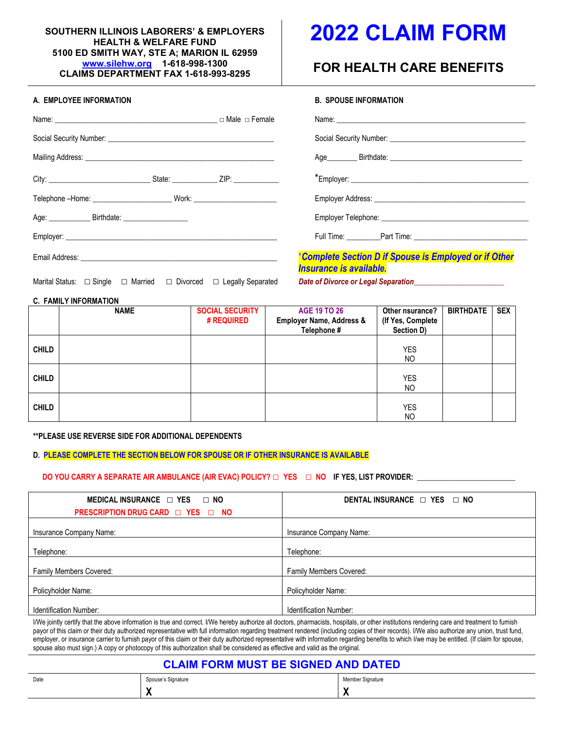#### **SOUTHERN ILLINOIS LABORERS' & EMPLOYERS HEALTH & WELFARE FUND 5100 ED SMITH WAY, STE A; MARION IL 62959 [www.silehw.org](http://www.silehw.org/) 1-618-998-1300 CLAIMS DEPARTMENT FAX 1-618-993-8295**

#### **A. EMPLOYEE INFORMATION B. SPOUSE INFORMATION**

# **2022 CLAIM FORM**

## **FOR HEALTH CARE BENEFITS**

| יוטו בשוו בטובב ווזו טומאסווטוז                         | דוטו דאוויט וויו בטטט וט                                                                |
|---------------------------------------------------------|-----------------------------------------------------------------------------------------|
|                                                         |                                                                                         |
|                                                         |                                                                                         |
|                                                         |                                                                                         |
|                                                         |                                                                                         |
|                                                         |                                                                                         |
| Age: ________________ Birthdate: ______________________ |                                                                                         |
|                                                         |                                                                                         |
|                                                         | *Complete Section D if Spouse is Employed or if Other<br><b>Insurance is available.</b> |

Marital Status: □ Single □ Married □ Divorced □ Legally Separated *Date of Divorce or Legal Separation* 

#### **C. FAMILY INFORMATION**

|              | <b>NAME</b> | <b>SOCIAL SECURITY</b><br><b># REQUIRED</b> | <b>AGE 19 TO 26</b><br><b>Employer Name, Address &amp;</b><br>Telephone # | Other nsurance?<br>(If Yes, Complete<br>Section D) | <b>BIRTHDATE</b> | <b>SEX</b> |
|--------------|-------------|---------------------------------------------|---------------------------------------------------------------------------|----------------------------------------------------|------------------|------------|
| <b>CHILD</b> |             |                                             |                                                                           | <b>YES</b><br>NO.                                  |                  |            |
| <b>CHILD</b> |             |                                             |                                                                           | <b>YES</b><br>NO                                   |                  |            |
| <b>CHILD</b> |             |                                             |                                                                           | <b>YES</b><br>NO                                   |                  |            |

**\*\*PLEASE USE REVERSE SIDE FOR ADDITIONAL DEPENDENTS**

#### **D. PLEASE COMPLETE THE SECTION BELOW FOR SPOUSE OR IF OTHER INSURANCE IS AVAILABLE**

#### **DO YOU CARRY A SEPARATE AIR AMBULANCE (AIR EVAC) POLICY? □ YES □ NO IF YES, LIST PROVIDER:**

| MEDICAL INSURANCE $\Box$ YES $\Box$ NO<br>PRESCRIPTION DRUG CARD □ YES □ NO | DENTAL INSURANCE $\Box$ YES $\Box$ NO |
|-----------------------------------------------------------------------------|---------------------------------------|
| Insurance Company Name:                                                     | Insurance Company Name:               |
| Telephone:                                                                  | Telephone:                            |
| Family Members Covered:                                                     | Family Members Covered:               |
| Policyholder Name:                                                          | Policyholder Name:                    |
| Identification Number:                                                      | Identification Number:                |

I/We jointly certify that the above information is true and correct. I/We hereby authorize all doctors, pharmacists, hospitals, or other institutions rendering care and treatment to furnish payor of this claim or their duty authorized representative with full information regarding treatment rendered (including copies of their records). I/We also authorize any union, trust fund, employer, or insurance carrier to furnish payor of this claim or their duty authorized representative with information regarding benefits to which I/we may be entitled. (If claim for spouse, spouse also must sign.) A copy or photocopy of this authorization shall be considered as effective and valid as the original.

### **CLAIM FORM MUST BE SIGNED AND DATED**

| Date | Spouse's Signature | Member Signature<br>$\sim$ $\sim$ $\sim$ |
|------|--------------------|------------------------------------------|
|      | . .                | $\bullet$<br>. .                         |